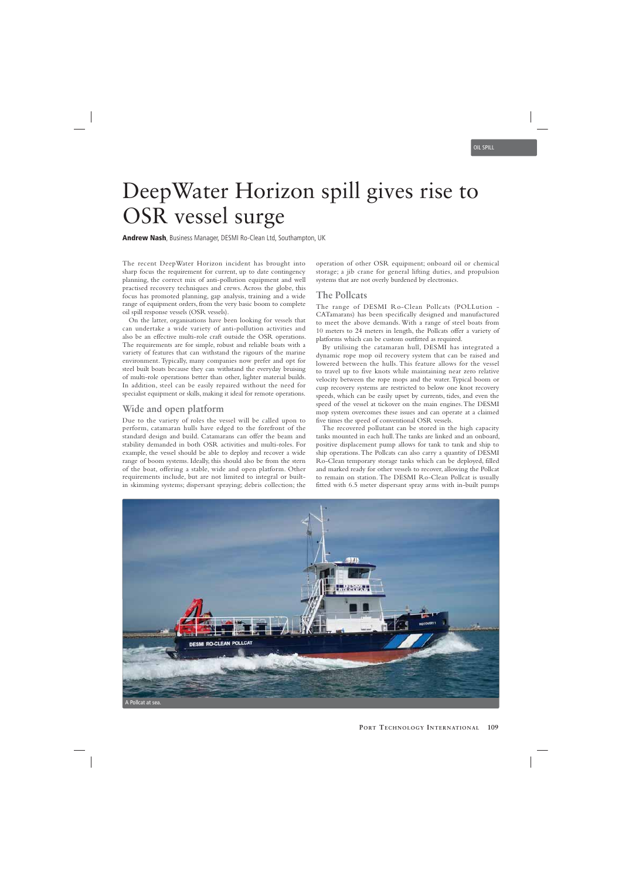# DeepWater Horizon spill gives rise to OSR vessel surge

**Andrew Nash**, Business Manager, DESMI Ro-Clean Ltd, Southampton, UK

The recent DeepWater Horizon incident has brought into sharp focus the requirement for current, up to date contingency planning, the correct mix of anti-pollution equipment and well practised recovery techniques and crews. Across the globe, this focus has promoted planning, gap analysis, training and a wide range of equipment orders, from the very basic boom to complete oil spill response vessels (OSR vessels).

On the latter, organisations have been looking for vessels that can undertake a wide variety of anti-pollution activities and also be an effective multi-role craft outside the OSR operations. The requirements are for simple, robust and reliable boats with a variety of features that can withstand the rigours of the marine environment. Typically, many companies now prefer and opt for steel built boats because they can withstand the everyday bruising of multi-role operations better than other, lighter material builds. In addition, steel can be easily repaired without the need for specialist equipment or skills, making it ideal for remote operations.

### **Wide and open platform**

Due to the variety of roles the vessel will be called upon to perform, catamaran hulls have edged to the forefront of the standard design and build. Catamarans can offer the beam and stability demanded in both OSR activities and multi-roles. For example, the vessel should be able to deploy and recover a wide range of boom systems. Ideally, this should also be from the stern of the boat, offering a stable, wide and open platform. Other requirements include, but are not limited to integral or builtin skimming systems; dispersant spraying; debris collection; the operation of other OSR equipment; onboard oil or chemical storage; a jib crane for general lifting duties, and propulsion systems that are not overly burdened by electronics.

### **The Pollcats**

The range of DESMI Ro-Clean Pollcats (POLLution - CATamarans) has been specifically designed and manufactured to meet the above demands. With a range of steel boats from 10 meters to 24 meters in length, the Pollcats offer a variety of platforms which can be custom outfitted as required.

By utilising the catamaran hull, DESMI has integrated a dynamic rope mop oil recovery system that can be raised and lowered between the hulls. This feature allows for the vessel to travel up to five knots while maintaining near zero relative velocity between the rope mops and the water. Typical boom or cusp recovery systems are restricted to below one knot recovery speeds, which can be easily upset by currents, tides, and even the speed of the vessel at tickover on the main engines. The DESMI mop system overcomes these issues and can operate at a claimed five times the speed of conventional OSR vessels.

The recovered pollutant can be stored in the high capacity tanks mounted in each hull. The tanks are linked and an onboard, positive displacement pump allows for tank to tank and ship to ship operations. The Pollcats can also carry a quantity of DESMI Ro-Clean temporary storage tanks which can be deployed, filled and marked ready for other vessels to recover, allowing the Pollcat to remain on station. The DESMI Ro-Clean Pollcat is usually fitted with 6.5 meter dispersant spray arms with in-built pumps